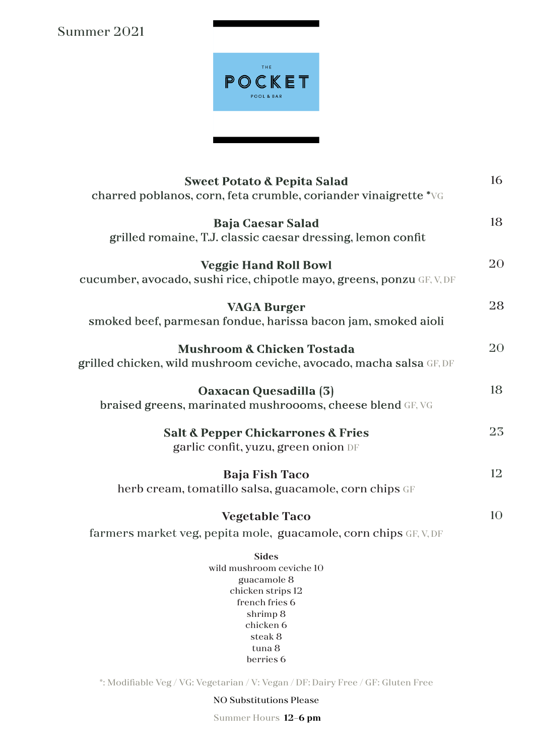Summer 2021



| <b>Sweet Potato &amp; Pepita Salad</b><br>charred poblanos, corn, feta crumble, coriander vinaigrette *VG                                                 | 16             |
|-----------------------------------------------------------------------------------------------------------------------------------------------------------|----------------|
| <b>Baja Caesar Salad</b><br>grilled romaine, T.J. classic caesar dressing, lemon confit                                                                   | 18             |
| <b>Veggie Hand Roll Bowl</b><br>cucumber, avocado, sushi rice, chipotle mayo, greens, ponzu GF, V, DF                                                     | 20             |
| <b>VAGA Burger</b><br>smoked beef, parmesan fondue, harissa bacon jam, smoked aioli                                                                       | 28             |
| <b>Mushroom &amp; Chicken Tostada</b><br>grilled chicken, wild mushroom ceviche, avocado, macha salsa GF, DF                                              | 20             |
| Oaxacan Quesadilla (3)<br>braised greens, marinated mushroooms, cheese blend GF, VG                                                                       | 18             |
| <b>Salt &amp; Pepper Chickarrones &amp; Fries</b><br>garlic confit, yuzu, green onion DF                                                                  | 23             |
| <b>Baja Fish Taco</b><br>herb cream, tomatillo salsa, guacamole, corn chips GF                                                                            | 12             |
| <b>Vegetable Taco</b><br>farmers market veg, pepita mole, guacamole, corn chips GF, V, DF                                                                 | 1 <sub>O</sub> |
| <b>Sides</b><br>wild mushroom ceviche 10<br>guacamole 8<br>chicken strips 12<br>french fries 6<br>shrimp 8<br>chicken 6<br>steak 8<br>tuna 8<br>berries 6 |                |
| *: Modifiable Veg / VG: Vegetarian / V: Vegan / DF: Dairy Free / GF: Gluten Free                                                                          |                |

NO Substitutions Please

Summer Hours **12-6 pm**